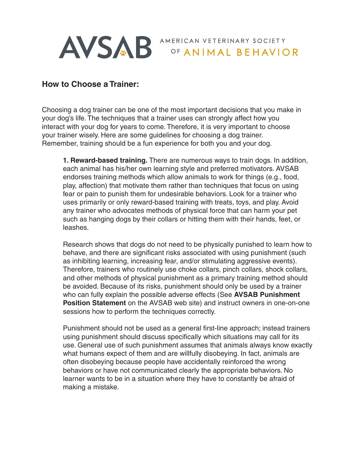

AVSAB<sup>AMERICAN VETERINARY SOCIETY</sup>

## **How to Choose a Trainer:**

Choosing a dog trainer can be one of the most important decisions that you make in your dog's life. The techniques that a trainer uses can strongly affect how you interact with your dog for years to come. Therefore, it is very important to choose your trainer wisely. Here are some guidelines for choosing a dog trainer. Remember, training should be a fun experience for both you and your dog.

**1. Reward-based training.** There are numerous ways to train dogs. In addition, each animal has his/her own learning style and preferred motivators. AVSAB endorses training methods which allow animals to work for things (e.g., food, play, affection) that motivate them rather than techniques that focus on using fear or pain to punish them for undesirable behaviors. Look for a trainer who uses primarily or only reward-based training with treats, toys, and play. Avoid any trainer who advocates methods of physical force that can harm your pet such as hanging dogs by their collars or hitting them with their hands, feet, or leashes.

Research shows that dogs do not need to be physically punished to learn how to behave, and there are significant risks associated with using punishment (such as inhibiting learning, increasing fear, and/or stimulating aggressive events). Therefore, trainers who routinely use choke collars, pinch collars, shock collars, and other methods of physical punishment as a primary training method should be avoided. Because of its risks, punishment should only be used by a trainer who can fully explain the possible adverse effects (See **AVSAB Punishment Position Statement** on the AVSAB web site) and instruct owners in one-on-one sessions how to perform the techniques correctly.

Punishment should not be used as a general first-line approach; instead trainers using punishment should discuss specifically which situations may call for its use. General use of such punishment assumes that animals always know exactly what humans expect of them and are willfully disobeying. In fact, animals are often disobeying because people have accidentally reinforced the wrong behaviors or have not communicated clearly the appropriate behaviors. No learner wants to be in a situation where they have to constantly be afraid of making a mistake.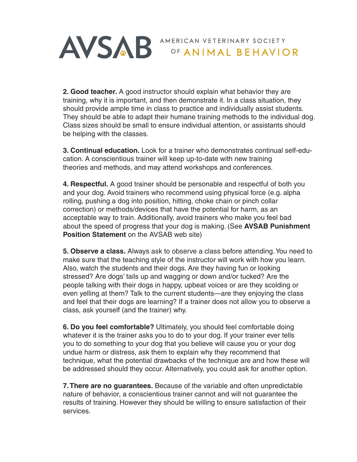

**2. Good teacher.** A good instructor should explain what behavior they are training, why it is important, and then demonstrate it. In a class situation, they should provide ample time in class to practice and individually assist students. They should be able to adapt their humane training methods to the individual dog. Class sizes should be small to ensure individual attention, or assistants should be helping with the classes.

**3. Continual education.** Look for a trainer who demonstrates continual self-education. A conscientious trainer will keep up-to-date with new training theories and methods, and may attend workshops and conferences.

**4. Respectful.** A good trainer should be personable and respectful of both you and your dog. Avoid trainers who recommend using physical force (e.g. alpha rolling, pushing a dog into position, hitting, choke chain or pinch collar correction) or methods/devices that have the potential for harm, as an acceptable way to train. Additionally, avoid trainers who make you feel bad about the speed of progress that your dog is making. (See **AVSAB Punishment Position Statement** on the AVSAB web site)

**5. Observe a class.** Always ask to observe a class before attending. You need to make sure that the teaching style of the instructor will work with how you learn. Also, watch the students and their dogs. Are they having fun or looking stressed? Are dogs' tails up and wagging or down and/or tucked? Are the people talking with their dogs in happy, upbeat voices or are they scolding or even yelling at them? Talk to the current students—are they enjoying the class and feel that their dogs are learning? If a trainer does not allow you to observe a class, ask yourself (and the trainer) why.

**6. Do you feel comfortable?** Ultimately, you should feel comfortable doing whatever it is the trainer asks you to do to your dog. If your trainer ever tells you to do something to your dog that you believe will cause you or your dog undue harm or distress, ask them to explain why they recommend that technique, what the potential drawbacks of the technique are and how these will be addressed should they occur. Alternatively, you could ask for another option.

**7. There are no guarantees.** Because of the variable and often unpredictable nature of behavior, a conscientious trainer cannot and will not guarantee the results of training. However they should be willing to ensure satisfaction of their services.